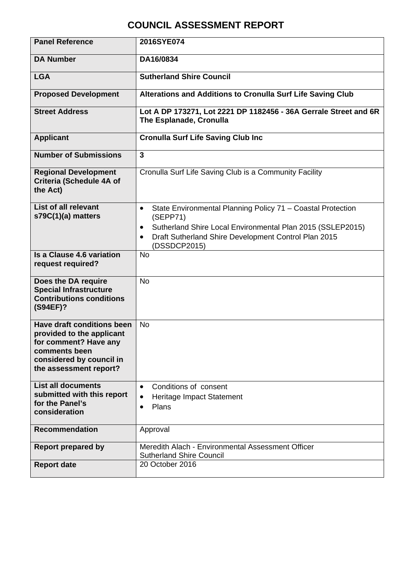# **COUNCIL ASSESSMENT REPORT**

| <b>Panel Reference</b>                                                                                                                                         | 2016SYE074                                                                                                                                                                                                                                           |
|----------------------------------------------------------------------------------------------------------------------------------------------------------------|------------------------------------------------------------------------------------------------------------------------------------------------------------------------------------------------------------------------------------------------------|
| <b>DA Number</b>                                                                                                                                               | DA16/0834                                                                                                                                                                                                                                            |
| <b>LGA</b>                                                                                                                                                     | <b>Sutherland Shire Council</b>                                                                                                                                                                                                                      |
| <b>Proposed Development</b>                                                                                                                                    | Alterations and Additions to Cronulla Surf Life Saving Club                                                                                                                                                                                          |
| <b>Street Address</b>                                                                                                                                          | Lot A DP 173271, Lot 2221 DP 1182456 - 36A Gerrale Street and 6R<br>The Esplanade, Cronulla                                                                                                                                                          |
| <b>Applicant</b>                                                                                                                                               | <b>Cronulla Surf Life Saving Club Inc</b>                                                                                                                                                                                                            |
| <b>Number of Submissions</b>                                                                                                                                   | 3                                                                                                                                                                                                                                                    |
| <b>Regional Development</b><br>Criteria (Schedule 4A of<br>the Act)                                                                                            | Cronulla Surf Life Saving Club is a Community Facility                                                                                                                                                                                               |
| List of all relevant<br>s79C(1)(a) matters                                                                                                                     | State Environmental Planning Policy 71 - Coastal Protection<br>$\bullet$<br>(SEPP71)<br>Sutherland Shire Local Environmental Plan 2015 (SSLEP2015)<br>$\bullet$<br>Draft Sutherland Shire Development Control Plan 2015<br>$\bullet$<br>(DSSDCP2015) |
| <b>Is a Clause 4.6 variation</b><br>request required?                                                                                                          | <b>No</b>                                                                                                                                                                                                                                            |
| Does the DA require<br><b>Special Infrastructure</b><br><b>Contributions conditions</b><br>(S94EF)?                                                            | <b>No</b>                                                                                                                                                                                                                                            |
| <b>Have draft conditions been</b><br>provided to the applicant<br>for comment? Have any<br>comments been<br>considered by council in<br>the assessment report? | <b>No</b>                                                                                                                                                                                                                                            |
| <b>List all documents</b><br>submitted with this report<br>for the Panel's<br>consideration                                                                    | Conditions of consent<br>$\bullet$<br>Heritage Impact Statement<br>$\bullet$<br>Plans<br>$\bullet$                                                                                                                                                   |
| <b>Recommendation</b>                                                                                                                                          | Approval                                                                                                                                                                                                                                             |
| <b>Report prepared by</b>                                                                                                                                      | Meredith Alach - Environmental Assessment Officer<br><b>Sutherland Shire Council</b>                                                                                                                                                                 |
| <b>Report date</b>                                                                                                                                             | 20 October 2016                                                                                                                                                                                                                                      |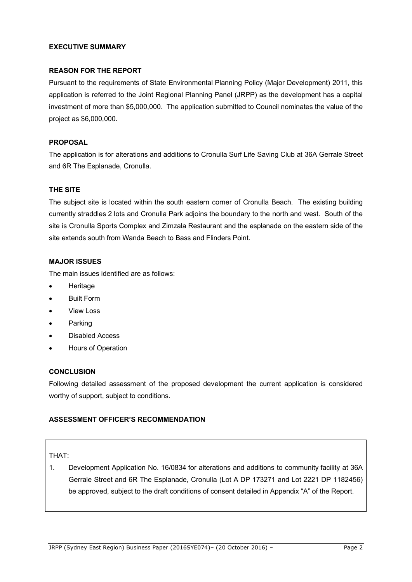### **EXECUTIVE SUMMARY**

### **REASON FOR THE REPORT**

Pursuant to the requirements of State Environmental Planning Policy (Major Development) 2011, this application is referred to the Joint Regional Planning Panel (JRPP) as the development has a capital investment of more than \$5,000,000. The application submitted to Council nominates the value of the project as \$6,000,000.

### **PROPOSAL**

The application is for alterations and additions to Cronulla Surf Life Saving Club at 36A Gerrale Street and 6R The Esplanade, Cronulla.

### **THE SITE**

The subject site is located within the south eastern corner of Cronulla Beach. The existing building currently straddles 2 lots and Cronulla Park adjoins the boundary to the north and west. South of the site is Cronulla Sports Complex and Zimzala Restaurant and the esplanade on the eastern side of the site extends south from Wanda Beach to Bass and Flinders Point.

### **MAJOR ISSUES**

The main issues identified are as follows:

- Heritage
- Built Form
- View Loss
- Parking
- Disabled Access
- Hours of Operation

#### **CONCLUSION**

Following detailed assessment of the proposed development the current application is considered worthy of support, subject to conditions.

### **ASSESSMENT OFFICER'S RECOMMENDATION**

#### THAT:

1. Development Application No. 16/0834 for alterations and additions to community facility at 36A Gerrale Street and 6R The Esplanade, Cronulla (Lot A DP 173271 and Lot 2221 DP 1182456) be approved, subject to the draft conditions of consent detailed in Appendix "A" of the Report.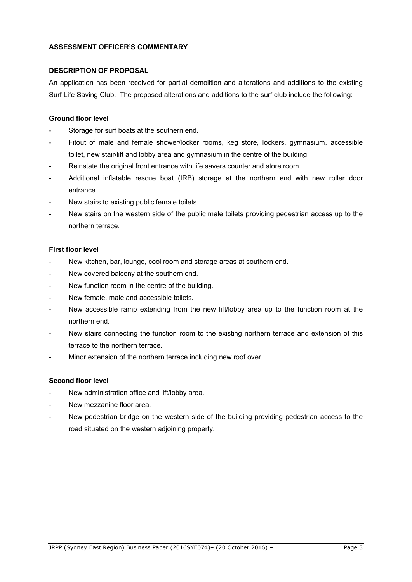### **ASSESSMENT OFFICER'S COMMENTARY**

### **DESCRIPTION OF PROPOSAL**

An application has been received for partial demolition and alterations and additions to the existing Surf Life Saving Club. The proposed alterations and additions to the surf club include the following:

### **Ground floor level**

- Storage for surf boats at the southern end.
- Fitout of male and female shower/locker rooms, keg store, lockers, gymnasium, accessible toilet, new stair/lift and lobby area and gymnasium in the centre of the building.
- Reinstate the original front entrance with life savers counter and store room.
- Additional inflatable rescue boat (IRB) storage at the northern end with new roller door entrance.
- New stairs to existing public female toilets.
- New stairs on the western side of the public male toilets providing pedestrian access up to the northern terrace.

#### **First floor level**

- New kitchen, bar, lounge, cool room and storage areas at southern end.
- New covered balcony at the southern end.
- New function room in the centre of the building.
- New female, male and accessible toilets.
- New accessible ramp extending from the new lift/lobby area up to the function room at the northern end.
- New stairs connecting the function room to the existing northern terrace and extension of this terrace to the northern terrace.
- Minor extension of the northern terrace including new roof over.

#### **Second floor level**

- New administration office and lift/lobby area.
- New mezzanine floor area.
- New pedestrian bridge on the western side of the building providing pedestrian access to the road situated on the western adjoining property.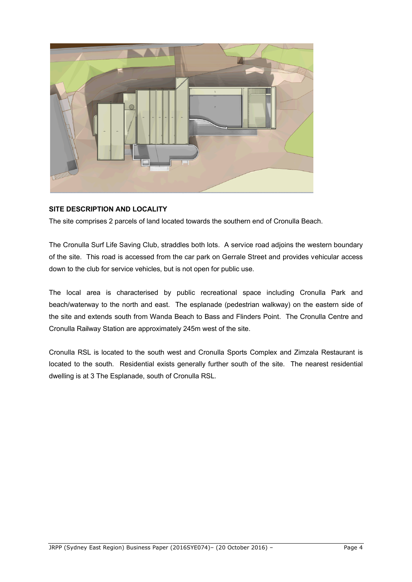

# **SITE DESCRIPTION AND LOCALITY**

The site comprises 2 parcels of land located towards the southern end of Cronulla Beach.

The Cronulla Surf Life Saving Club, straddles both lots. A service road adjoins the western boundary of the site. This road is accessed from the car park on Gerrale Street and provides vehicular access down to the club for service vehicles, but is not open for public use.

The local area is characterised by public recreational space including Cronulla Park and beach/waterway to the north and east. The esplanade (pedestrian walkway) on the eastern side of the site and extends south from Wanda Beach to Bass and Flinders Point. The Cronulla Centre and Cronulla Railway Station are approximately 245m west of the site.

Cronulla RSL is located to the south west and Cronulla Sports Complex and Zimzala Restaurant is located to the south. Residential exists generally further south of the site. The nearest residential dwelling is at 3 The Esplanade, south of Cronulla RSL.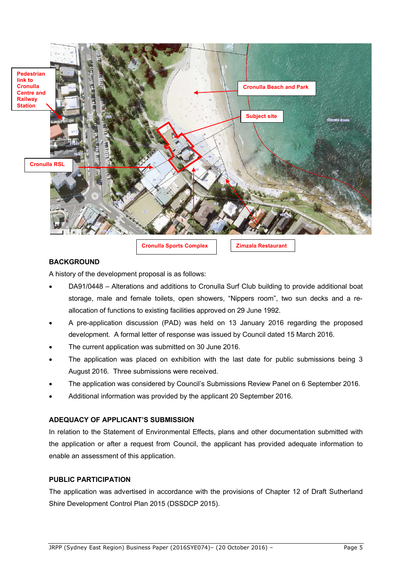

### **BACKGROUND**

A history of the development proposal is as follows:

- DA91/0448 Alterations and additions to Cronulla Surf Club building to provide additional boat storage, male and female toilets, open showers, "Nippers room", two sun decks and a reallocation of functions to existing facilities approved on 29 June 1992.
- A pre-application discussion (PAD) was held on 13 January 2016 regarding the proposed development. A formal letter of response was issued by Council dated 15 March 2016.
- The current application was submitted on 30 June 2016.
- The application was placed on exhibition with the last date for public submissions being 3 August 2016*.* Three submissions were received.
- The application was considered by Council's Submissions Review Panel on 6 September 2016.
- Additional information was provided by the applicant 20 September 2016.

# **ADEQUACY OF APPLICANT'S SUBMISSION**

In relation to the Statement of Environmental Effects, plans and other documentation submitted with the application or after a request from Council, the applicant has provided adequate information to enable an assessment of this application.

#### **PUBLIC PARTICIPATION**

The application was advertised in accordance with the provisions of Chapter 12 of Draft Sutherland Shire Development Control Plan 2015 (DSSDCP 2015).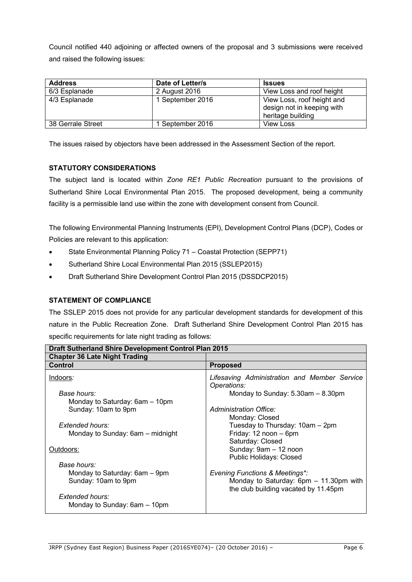Council notified 440 adjoining or affected owners of the proposal and 3 submissions were received and raised the following issues:

| <b>Address</b>    | Date of Letter/s | <b>Issues</b>                                                                 |
|-------------------|------------------|-------------------------------------------------------------------------------|
| 6/3 Esplanade     | 2 August 2016    | View Loss and roof height                                                     |
| 4/3 Esplanade     | 1 September 2016 | View Loss, roof height and<br>design not in keeping with<br>heritage building |
| 38 Gerrale Street | September 2016   | <b>View Loss</b>                                                              |

The issues raised by objectors have been addressed in the Assessment Section of the report.

## **STATUTORY CONSIDERATIONS**

The subject land is located within *Zone RE1 Public Recreation* pursuant to the provisions of Sutherland Shire Local Environmental Plan 2015. The proposed development, being a community facility is a permissible land use within the zone with development consent from Council.

The following Environmental Planning Instruments (EPI), Development Control Plans (DCP), Codes or Policies are relevant to this application:

- State Environmental Planning Policy 71 Coastal Protection (SEPP71)
- Sutherland Shire Local Environmental Plan 2015 (SSLEP2015)
- Draft Sutherland Shire Development Control Plan 2015 (DSSDCP2015)

## **STATEMENT OF COMPLIANCE**

The SSLEP 2015 does not provide for any particular development standards for development of this nature in the Public Recreation Zone. Draft Sutherland Shire Development Control Plan 2015 has specific requirements for late night trading as follows:

| <b>Draft Sutherland Shire Development Control Plan 2015</b> |                                                             |  |  |  |
|-------------------------------------------------------------|-------------------------------------------------------------|--|--|--|
| <b>Chapter 36 Late Night Trading</b>                        |                                                             |  |  |  |
| Control                                                     | <b>Proposed</b>                                             |  |  |  |
| Indoors:                                                    | Lifesaving Administration and Member Service<br>Operations: |  |  |  |
| Base hours:                                                 | Monday to Sunday: $5.30$ am $- 8.30$ pm                     |  |  |  |
| Monday to Saturday: 6am – 10pm                              |                                                             |  |  |  |
| Sunday: 10am to 9pm                                         | Administration Office:                                      |  |  |  |
|                                                             | Monday: Closed                                              |  |  |  |
| Extended hours:                                             | Tuesday to Thursday: 10am - 2pm                             |  |  |  |
| Monday to Sunday: 6am – midnight                            | Friday: 12 noon - 6pm                                       |  |  |  |
|                                                             | Saturday: Closed                                            |  |  |  |
| Outdoors:                                                   | Sunday: 9am - 12 noon                                       |  |  |  |
|                                                             | Public Holidays: Closed                                     |  |  |  |
| Base hours:                                                 |                                                             |  |  |  |
| Monday to Saturday: 6am – 9pm                               | <b>Evening Functions &amp; Meetings*:</b>                   |  |  |  |
| Sunday: 10am to 9pm                                         | Monday to Saturday: 6pm - 11.30pm with                      |  |  |  |
|                                                             | the club building vacated by 11.45pm                        |  |  |  |
| Extended hours:                                             |                                                             |  |  |  |
| Monday to Sunday: 6am - 10pm                                |                                                             |  |  |  |
|                                                             |                                                             |  |  |  |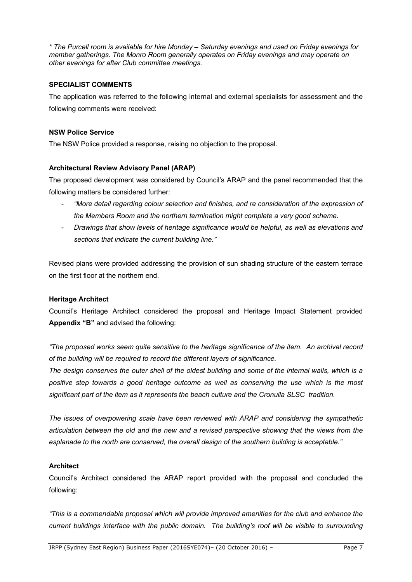*\* The Purcell room is available for hire Monday – Saturday evenings and used on Friday evenings for member gatherings. The Monro Room generally operates on Friday evenings and may operate on other evenings for after Club committee meetings.*

### **SPECIALIST COMMENTS**

The application was referred to the following internal and external specialists for assessment and the following comments were received:

### **NSW Police Service**

The NSW Police provided a response, raising no objection to the proposal.

## **Architectural Review Advisory Panel (ARAP)**

The proposed development was considered by Council's ARAP and the panel recommended that the following matters be considered further:

- *"More detail regarding colour selection and finishes, and re consideration of the expression of the Members Room and the northern termination might complete a very good scheme.*
- *Drawings that show levels of heritage significance would be helpful, as well as elevations and sections that indicate the current building line."*

Revised plans were provided addressing the provision of sun shading structure of the eastern terrace on the first floor at the northern end.

#### **Heritage Architect**

Council's Heritage Architect considered the proposal and Heritage Impact Statement provided **Appendix "B"** and advised the following:

*"The proposed works seem quite sensitive to the heritage significance of the item. An archival record of the building will be required to record the different layers of significance.* 

*The design conserves the outer shell of the oldest building and some of the internal walls, which is a positive step towards a good heritage outcome as well as conserving the use which is the most significant part of the item as it represents the beach culture and the Cronulla SLSC tradition.*

*The issues of overpowering scale have been reviewed with ARAP and considering the sympathetic articulation between the old and the new and a revised perspective showing that the views from the esplanade to the north are conserved, the overall design of the southern building is acceptable."* 

## **Architect**

Council's Architect considered the ARAP report provided with the proposal and concluded the following:

*"This is a commendable proposal which will provide improved amenities for the club and enhance the current buildings interface with the public domain. The building's roof will be visible to surrounding*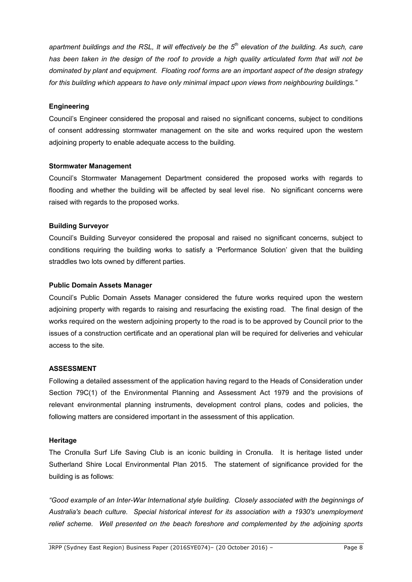*apartment buildings and the RSL, It will effectively be the 5 th elevation of the building. As such, care has been taken in the design of the roof to provide a high quality articulated form that will not be dominated by plant and equipment. Floating roof forms are an important aspect of the design strategy for this building which appears to have only minimal impact upon views from neighbouring buildings."*

### **Engineering**

Council's Engineer considered the proposal and raised no significant concerns, subject to conditions of consent addressing stormwater management on the site and works required upon the western adjoining property to enable adequate access to the building.

### **Stormwater Management**

Council's Stormwater Management Department considered the proposed works with regards to flooding and whether the building will be affected by seal level rise. No significant concerns were raised with regards to the proposed works.

### **Building Surveyor**

Council's Building Surveyor considered the proposal and raised no significant concerns, subject to conditions requiring the building works to satisfy a 'Performance Solution' given that the building straddles two lots owned by different parties.

### **Public Domain Assets Manager**

Council's Public Domain Assets Manager considered the future works required upon the western adjoining property with regards to raising and resurfacing the existing road. The final design of the works required on the western adjoining property to the road is to be approved by Council prior to the issues of a construction certificate and an operational plan will be required for deliveries and vehicular access to the site.

## **ASSESSMENT**

Following a detailed assessment of the application having regard to the Heads of Consideration under Section 79C(1) of the Environmental Planning and Assessment Act 1979 and the provisions of relevant environmental planning instruments, development control plans, codes and policies, the following matters are considered important in the assessment of this application.

#### **Heritage**

The Cronulla Surf Life Saving Club is an iconic building in Cronulla. It is heritage listed under Sutherland Shire Local Environmental Plan 2015. The statement of significance provided for the building is as follows:

*"Good example of an Inter-War International style building. Closely associated with the beginnings of Australia's beach culture. Special historical interest for its association with a 1930's unemployment relief scheme. Well presented on the beach foreshore and complemented by the adjoining sports*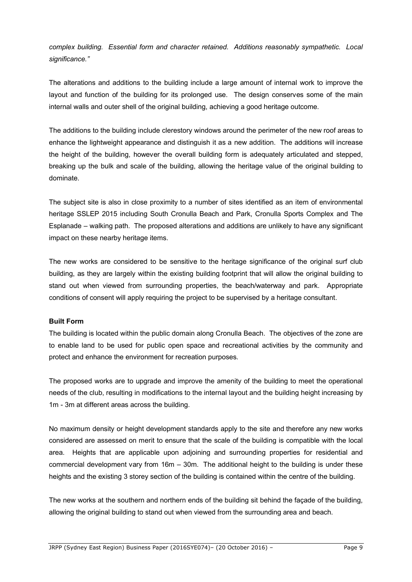*complex building. Essential form and character retained. Additions reasonably sympathetic. Local significance."*

The alterations and additions to the building include a large amount of internal work to improve the layout and function of the building for its prolonged use. The design conserves some of the main internal walls and outer shell of the original building, achieving a good heritage outcome.

The additions to the building include clerestory windows around the perimeter of the new roof areas to enhance the lightweight appearance and distinguish it as a new addition. The additions will increase the height of the building, however the overall building form is adequately articulated and stepped, breaking up the bulk and scale of the building, allowing the heritage value of the original building to dominate.

The subject site is also in close proximity to a number of sites identified as an item of environmental heritage SSLEP 2015 including South Cronulla Beach and Park, Cronulla Sports Complex and The Esplanade – walking path. The proposed alterations and additions are unlikely to have any significant impact on these nearby heritage items.

The new works are considered to be sensitive to the heritage significance of the original surf club building, as they are largely within the existing building footprint that will allow the original building to stand out when viewed from surrounding properties, the beach/waterway and park. Appropriate conditions of consent will apply requiring the project to be supervised by a heritage consultant.

#### **Built Form**

The building is located within the public domain along Cronulla Beach. The objectives of the zone are to enable land to be used for public open space and recreational activities by the community and protect and enhance the environment for recreation purposes.

The proposed works are to upgrade and improve the amenity of the building to meet the operational needs of the club, resulting in modifications to the internal layout and the building height increasing by 1m - 3m at different areas across the building.

No maximum density or height development standards apply to the site and therefore any new works considered are assessed on merit to ensure that the scale of the building is compatible with the local area. Heights that are applicable upon adjoining and surrounding properties for residential and commercial development vary from 16m – 30m. The additional height to the building is under these heights and the existing 3 storey section of the building is contained within the centre of the building.

The new works at the southern and northern ends of the building sit behind the façade of the building, allowing the original building to stand out when viewed from the surrounding area and beach.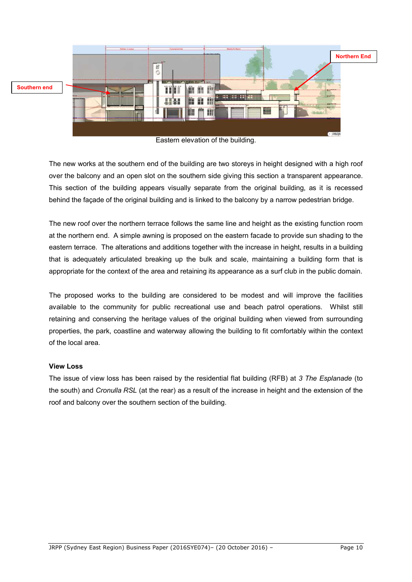

Eastern elevation of the building.

The new works at the southern end of the building are two storeys in height designed with a high roof over the balcony and an open slot on the southern side giving this section a transparent appearance. This section of the building appears visually separate from the original building, as it is recessed behind the façade of the original building and is linked to the balcony by a narrow pedestrian bridge.

The new roof over the northern terrace follows the same line and height as the existing function room at the northern end. A simple awning is proposed on the eastern facade to provide sun shading to the eastern terrace. The alterations and additions together with the increase in height, results in a building that is adequately articulated breaking up the bulk and scale, maintaining a building form that is appropriate for the context of the area and retaining its appearance as a surf club in the public domain.

The proposed works to the building are considered to be modest and will improve the facilities available to the community for public recreational use and beach patrol operations. Whilst still retaining and conserving the heritage values of the original building when viewed from surrounding properties, the park, coastline and waterway allowing the building to fit comfortably within the context of the local area.

## **View Loss**

The issue of view loss has been raised by the residential flat building (RFB) at *3 The Esplanade* (to the south) and *Cronulla RSL* (at the rear) as a result of the increase in height and the extension of the roof and balcony over the southern section of the building.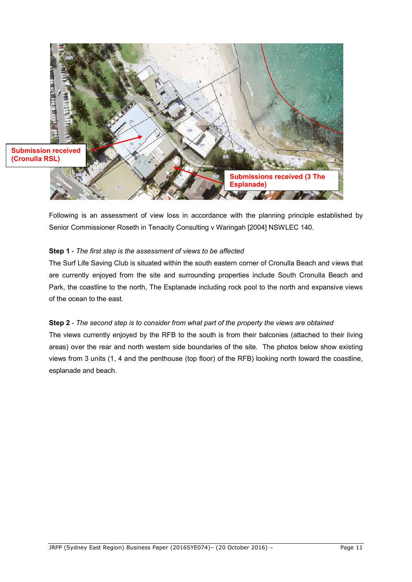

Following is an assessment of view loss in accordance with the planning principle established by Senior Commissioner Roseth in Tenacity Consulting v Waringah [2004] NSWLEC 140.

## **Step 1** - *The first step is the assessment of views to be affected*

The Surf Life Saving Club is situated within the south eastern corner of Cronulla Beach and views that are currently enjoyed from the site and surrounding properties include South Cronulla Beach and Park, the coastline to the north, The Esplanade including rock pool to the north and expansive views of the ocean to the east.

### **Step 2** - *The second step is to consider from what part of the property the views are obtained*

The views currently enjoyed by the RFB to the south is from their balconies (attached to their living areas) over the rear and north western side boundaries of the site. The photos below show existing views from 3 units (1, 4 and the penthouse (top floor) of the RFB) looking north toward the coastline, esplanade and beach.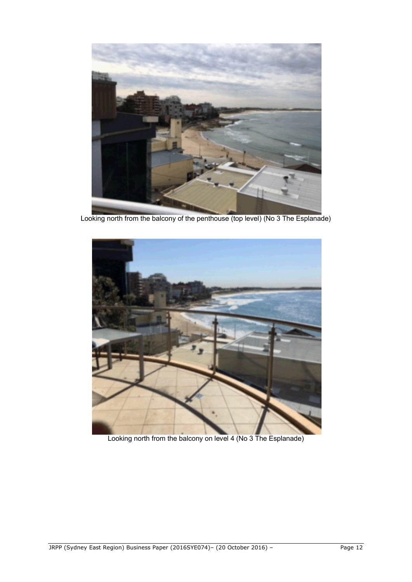

Looking north from the balcony of the penthouse (top level) (No 3 The Esplanade)



Looking north from the balcony on level 4 (No 3 The Esplanade)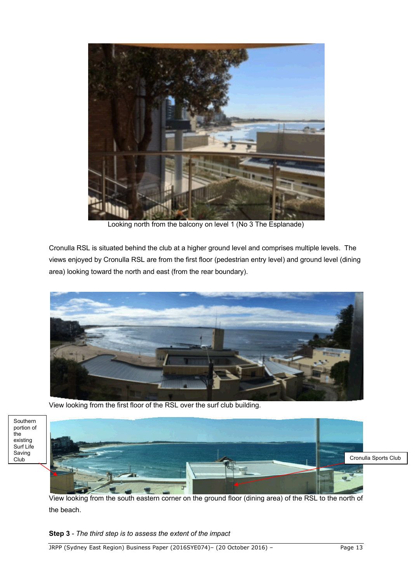

Looking north from the balcony on level 1 (No 3 The Esplanade)

Cronulla RSL is situated behind the club at a higher ground level and comprises multiple levels. The views enjoyed by Cronulla RSL are from the first floor (pedestrian entry level) and ground level (dining area) looking toward the north and east (from the rear boundary).



View looking from the first floor of the RSL over the surf club building.

Southern portion of the existing Surf Life Saving Club



View looking from the south eastern corner on the ground floor (dining area) of the RSL to the north of the beach.

**Step 3** *- The third step is to assess the extent of the impact*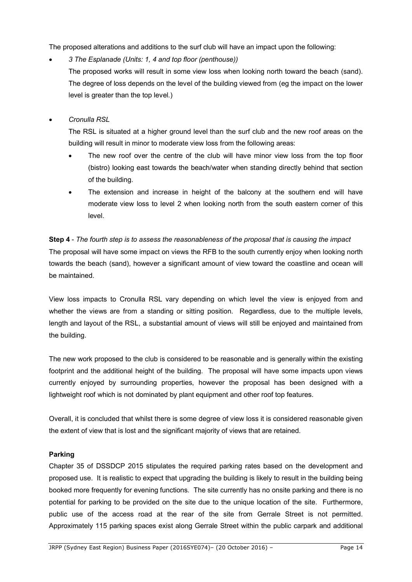The proposed alterations and additions to the surf club will have an impact upon the following:

*3 The Esplanade (Units: 1, 4 and top floor (penthouse))*

The proposed works will result in some view loss when looking north toward the beach (sand). The degree of loss depends on the level of the building viewed from (eg the impact on the lower level is greater than the top level.)

*Cronulla RSL*

The RSL is situated at a higher ground level than the surf club and the new roof areas on the building will result in minor to moderate view loss from the following areas:

- The new roof over the centre of the club will have minor view loss from the top floor (bistro) looking east towards the beach/water when standing directly behind that section of the building.
- The extension and increase in height of the balcony at the southern end will have moderate view loss to level 2 when looking north from the south eastern corner of this level.

**Step 4** - *The fourth step is to assess the reasonableness of the proposal that is causing the impact* The proposal will have some impact on views the RFB to the south currently enjoy when looking north towards the beach (sand), however a significant amount of view toward the coastline and ocean will be maintained.

View loss impacts to Cronulla RSL vary depending on which level the view is enjoyed from and whether the views are from a standing or sitting position. Regardless, due to the multiple levels, length and layout of the RSL, a substantial amount of views will still be enjoyed and maintained from the building.

The new work proposed to the club is considered to be reasonable and is generally within the existing footprint and the additional height of the building. The proposal will have some impacts upon views currently enjoyed by surrounding properties, however the proposal has been designed with a lightweight roof which is not dominated by plant equipment and other roof top features.

Overall, it is concluded that whilst there is some degree of view loss it is considered reasonable given the extent of view that is lost and the significant majority of views that are retained.

## **Parking**

Chapter 35 of DSSDCP 2015 stipulates the required parking rates based on the development and proposed use. It is realistic to expect that upgrading the building is likely to result in the building being booked more frequently for evening functions. The site currently has no onsite parking and there is no potential for parking to be provided on the site due to the unique location of the site. Furthermore, public use of the access road at the rear of the site from Gerrale Street is not permitted. Approximately 115 parking spaces exist along Gerrale Street within the public carpark and additional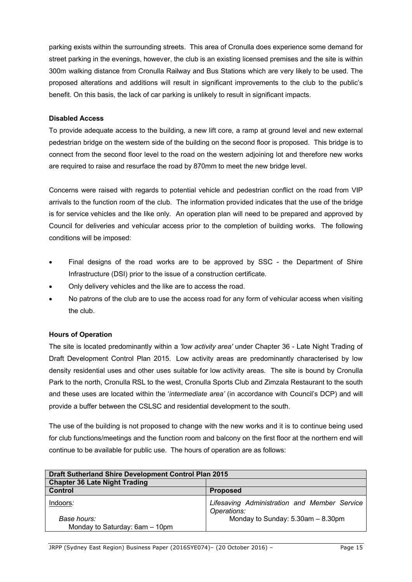parking exists within the surrounding streets. This area of Cronulla does experience some demand for street parking in the evenings, however, the club is an existing licensed premises and the site is within 300m walking distance from Cronulla Railway and Bus Stations which are very likely to be used. The proposed alterations and additions will result in significant improvements to the club to the public's benefit. On this basis, the lack of car parking is unlikely to result in significant impacts.

### **Disabled Access**

To provide adequate access to the building, a new lift core, a ramp at ground level and new external pedestrian bridge on the western side of the building on the second floor is proposed. This bridge is to connect from the second floor level to the road on the western adjoining lot and therefore new works are required to raise and resurface the road by 870mm to meet the new bridge level.

Concerns were raised with regards to potential vehicle and pedestrian conflict on the road from VIP arrivals to the function room of the club. The information provided indicates that the use of the bridge is for service vehicles and the like only. An operation plan will need to be prepared and approved by Council for deliveries and vehicular access prior to the completion of building works. The following conditions will be imposed:

- Final designs of the road works are to be approved by SSC the Department of Shire Infrastructure (DSI) prior to the issue of a construction certificate.
- Only delivery vehicles and the like are to access the road.
- No patrons of the club are to use the access road for any form of vehicular access when visiting the club.

## **Hours of Operation**

The site is located predominantly within a *'low activity area'* under Chapter 36 - Late Night Trading of Draft Development Control Plan 2015. Low activity areas are predominantly characterised by low density residential uses and other uses suitable for low activity areas. The site is bound by Cronulla Park to the north, Cronulla RSL to the west, Cronulla Sports Club and Zimzala Restaurant to the south and these uses are located within the '*intermediate area'* (in accordance with Council's DCP) and will provide a buffer between the CSLSC and residential development to the south.

The use of the building is not proposed to change with the new works and it is to continue being used for club functions/meetings and the function room and balcony on the first floor at the northern end will continue to be available for public use. The hours of operation are as follows:

| <b>Draft Sutherland Shire Development Control Plan 2015</b> |                                                             |  |
|-------------------------------------------------------------|-------------------------------------------------------------|--|
| <b>Chapter 36 Late Night Trading</b>                        |                                                             |  |
| <b>Control</b>                                              | <b>Proposed</b>                                             |  |
| Indoors:                                                    | Lifesaving Administration and Member Service<br>Operations: |  |
| Base hours:<br>Monday to Saturday: 6am - 10pm               | Monday to Sunday: 5.30am - 8.30pm                           |  |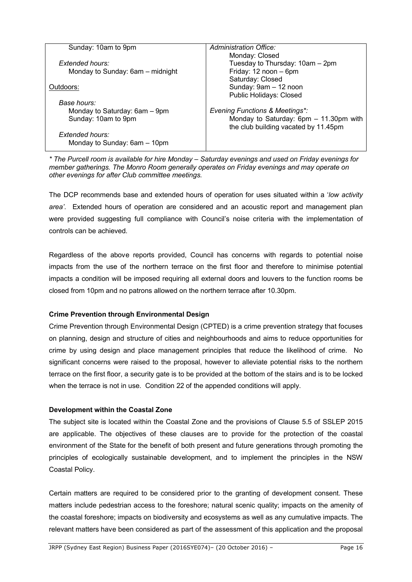| Sunday: 10am to 9pm                                 | Administration Office:                                                         |
|-----------------------------------------------------|--------------------------------------------------------------------------------|
| Extended hours:<br>Monday to Sunday: 6am – midnight | Monday: Closed<br>Tuesday to Thursday: 10am - 2pm<br>Friday: 12 noon - 6pm     |
| Outdoors:                                           | Saturday: Closed<br>Sunday: 9am - 12 noon<br><b>Public Holidays: Closed</b>    |
| Base hours:                                         |                                                                                |
| Monday to Saturday: 6am - 9pm                       | <b>Evening Functions &amp; Meetings*:</b>                                      |
| Sunday: 10am to 9pm                                 | Monday to Saturday: 6pm - 11.30pm with<br>the club building vacated by 11.45pm |
| Extended hours:<br>Monday to Sunday: 6am - 10pm     |                                                                                |

*\* The Purcell room is available for hire Monday – Saturday evenings and used on Friday evenings for member gatherings. The Monro Room generally operates on Friday evenings and may operate on other evenings for after Club committee meetings.*

The DCP recommends base and extended hours of operation for uses situated within a '*low activity area'*. Extended hours of operation are considered and an acoustic report and management plan were provided suggesting full compliance with Council's noise criteria with the implementation of controls can be achieved.

Regardless of the above reports provided, Council has concerns with regards to potential noise impacts from the use of the northern terrace on the first floor and therefore to minimise potential impacts a condition will be imposed requiring all external doors and louvers to the function rooms be closed from 10pm and no patrons allowed on the northern terrace after 10.30pm.

#### **Crime Prevention through Environmental Design**

Crime Prevention through Environmental Design (CPTED) is a crime prevention strategy that focuses on planning, design and structure of cities and neighbourhoods and aims to reduce opportunities for crime by using design and place management principles that reduce the likelihood of crime. No significant concerns were raised to the proposal, however to alleviate potential risks to the northern terrace on the first floor, a security gate is to be provided at the bottom of the stairs and is to be locked when the terrace is not in use. Condition 22 of the appended conditions will apply.

#### **Development within the Coastal Zone**

The subject site is located within the Coastal Zone and the provisions of Clause 5.5 of SSLEP 2015 are applicable. The objectives of these clauses are to provide for the protection of the coastal environment of the State for the benefit of both present and future generations through promoting the principles of ecologically sustainable development, and to implement the principles in the NSW Coastal Policy.

Certain matters are required to be considered prior to the granting of development consent. These matters include pedestrian access to the foreshore; natural scenic quality; impacts on the amenity of the coastal foreshore; impacts on biodiversity and ecosystems as well as any cumulative impacts. The relevant matters have been considered as part of the assessment of this application and the proposal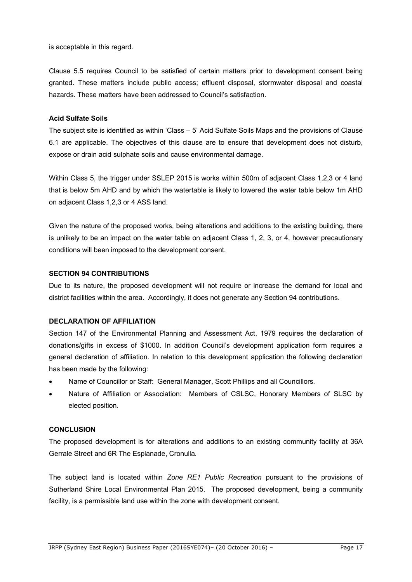is acceptable in this regard.

Clause 5.5 requires Council to be satisfied of certain matters prior to development consent being granted. These matters include public access; effluent disposal, stormwater disposal and coastal hazards. These matters have been addressed to Council's satisfaction.

#### **Acid Sulfate Soils**

The subject site is identified as within 'Class – 5' Acid Sulfate Soils Maps and the provisions of Clause 6.1 are applicable. The objectives of this clause are to ensure that development does not disturb, expose or drain acid sulphate soils and cause environmental damage.

Within Class 5, the trigger under SSLEP 2015 is works within 500m of adjacent Class 1,2,3 or 4 land that is below 5m AHD and by which the watertable is likely to lowered the water table below 1m AHD on adjacent Class 1,2,3 or 4 ASS land.

Given the nature of the proposed works, being alterations and additions to the existing building, there is unlikely to be an impact on the water table on adjacent Class 1, 2, 3, or 4, however precautionary conditions will been imposed to the development consent.

#### **SECTION 94 CONTRIBUTIONS**

Due to its nature, the proposed development will not require or increase the demand for local and district facilities within the area. Accordingly, it does not generate any Section 94 contributions.

### **DECLARATION OF AFFILIATION**

Section 147 of the Environmental Planning and Assessment Act, 1979 requires the declaration of donations/gifts in excess of \$1000. In addition Council's development application form requires a general declaration of affiliation. In relation to this development application the following declaration has been made by the following:

- Name of Councillor or Staff: General Manager, Scott Phillips and all Councillors.
- Nature of Affiliation or Association: Members of CSLSC, Honorary Members of SLSC by elected position.

### **CONCLUSION**

The proposed development is for alterations and additions to an existing community facility at 36A Gerrale Street and 6R The Esplanade, Cronulla.

The subject land is located within *Zone RE1 Public Recreation* pursuant to the provisions of Sutherland Shire Local Environmental Plan 2015. The proposed development, being a community facility, is a permissible land use within the zone with development consent.